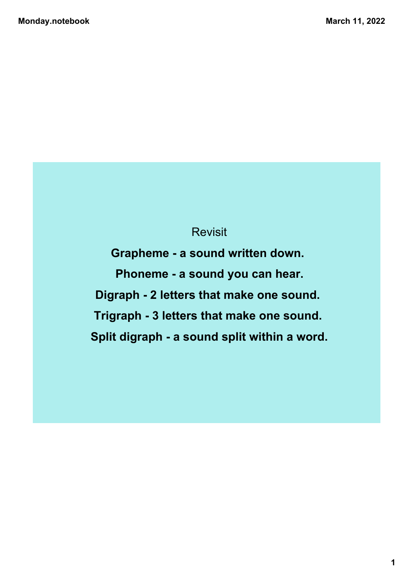#### Revisit

**Grapheme - a sound written down. Phoneme a sound you can hear. Digraph 2 letters that make one sound. Trigraph 3 letters that make one sound.**  Split digraph - a sound split within a word.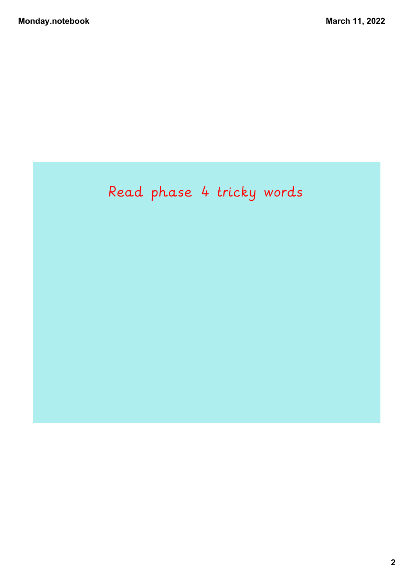# Read phase 4 tricky words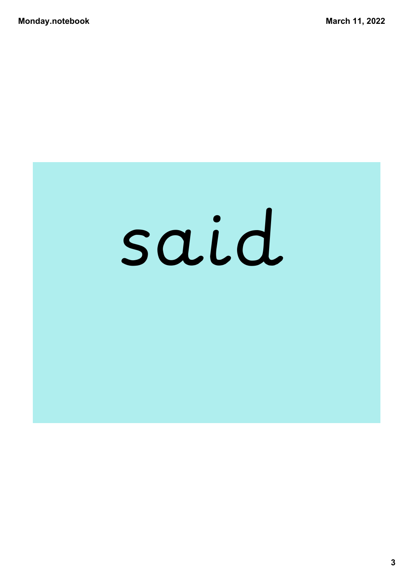## said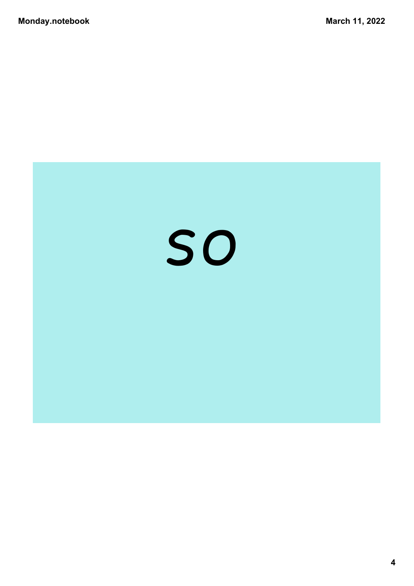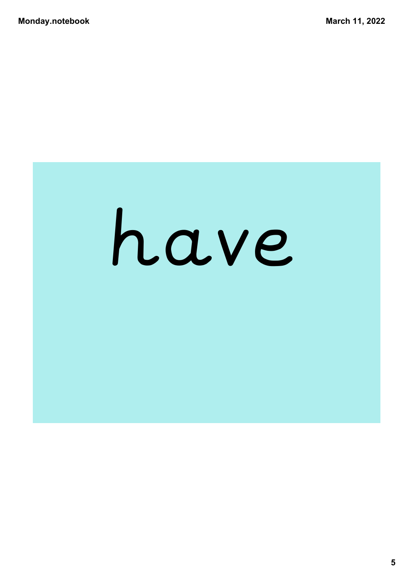## have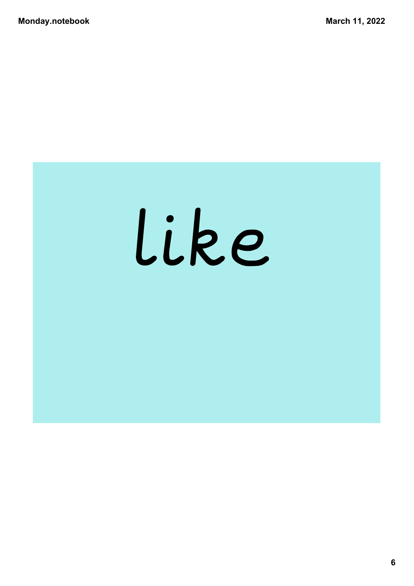## Like.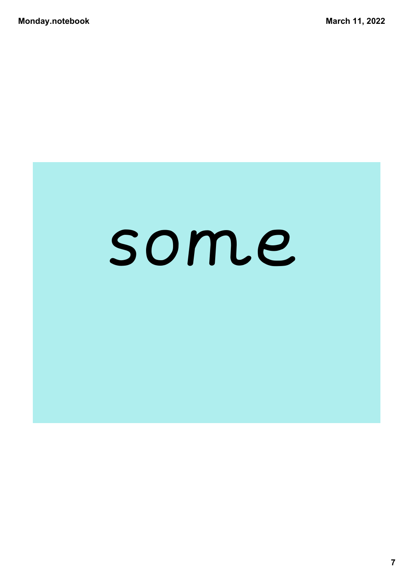### some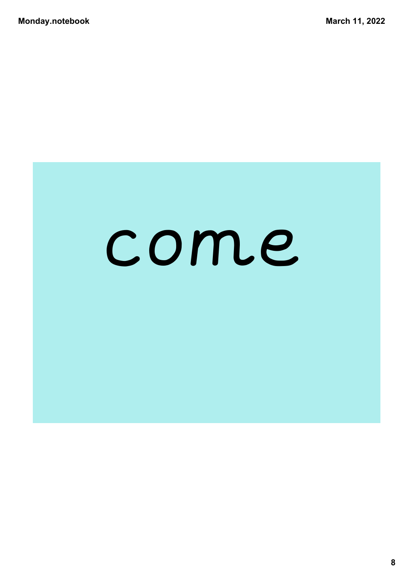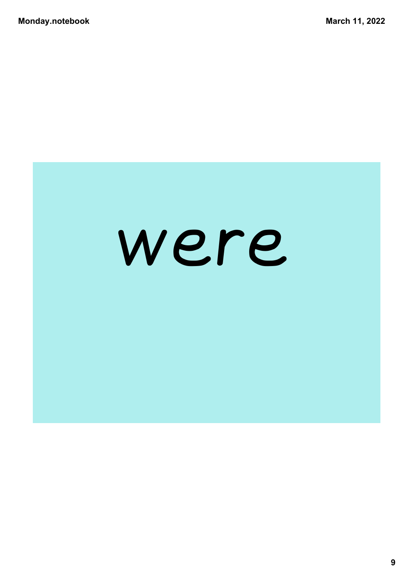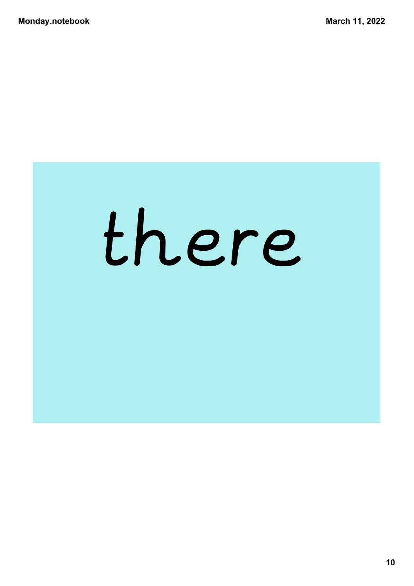# there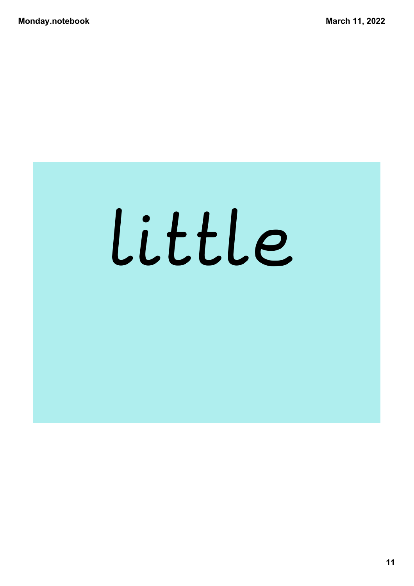## Little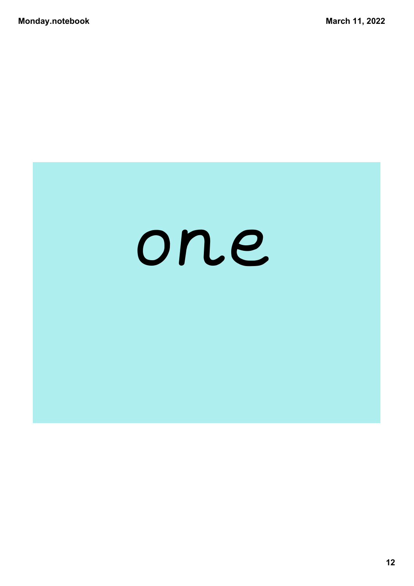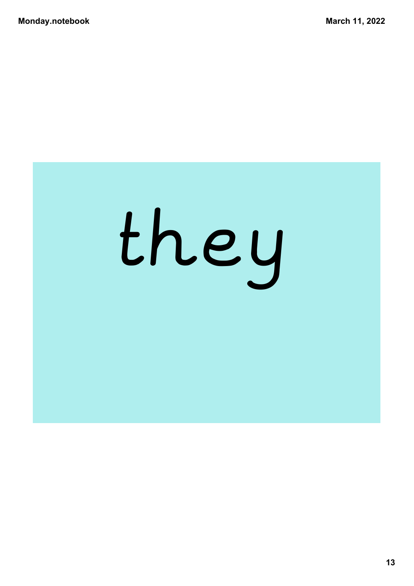# they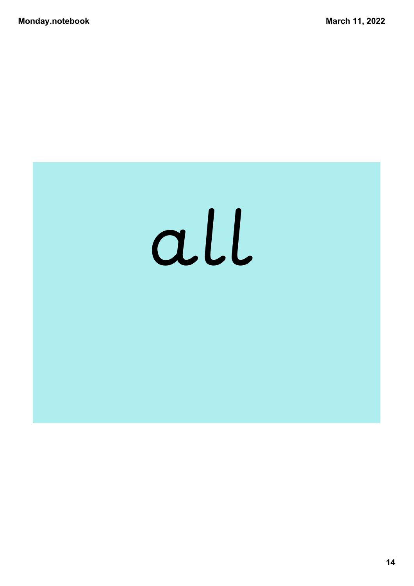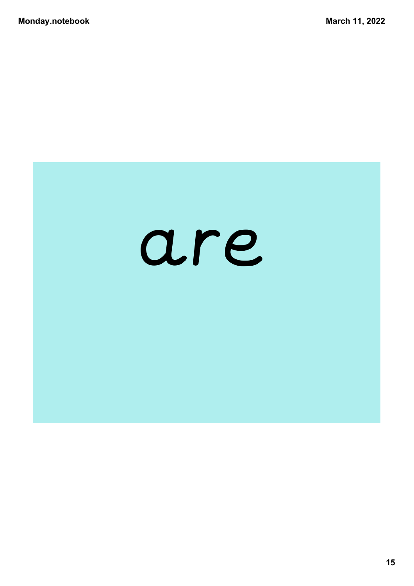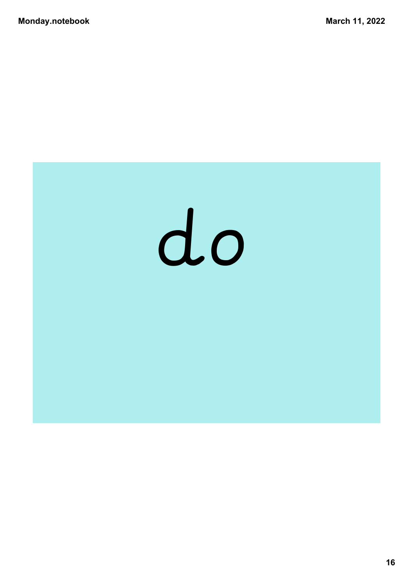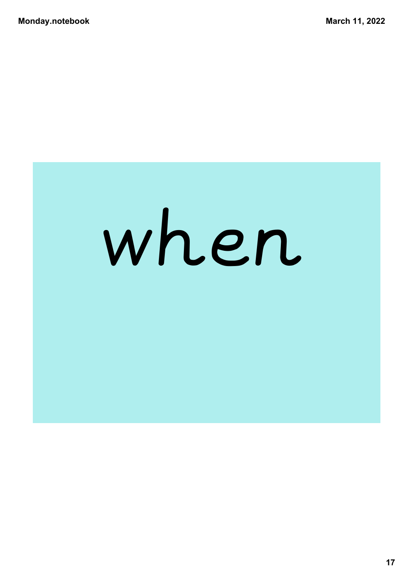# when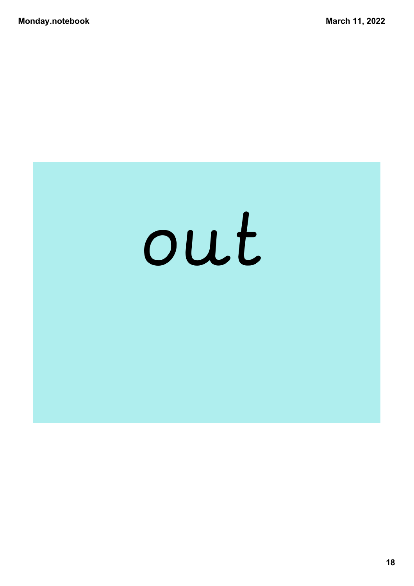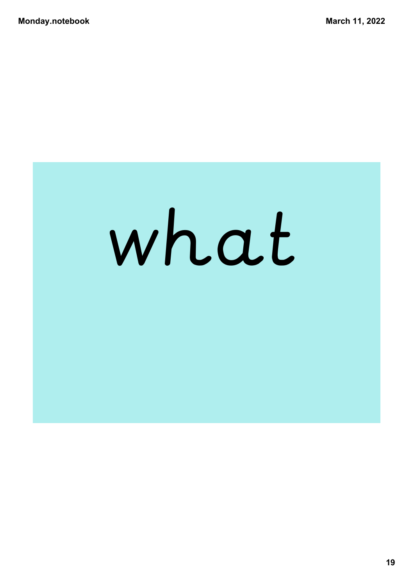# what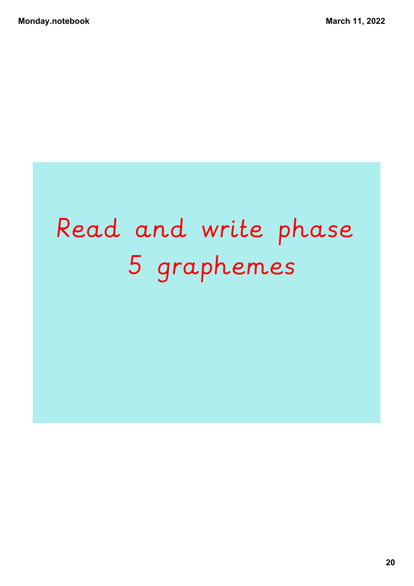#### Read and write phase 5 graphemes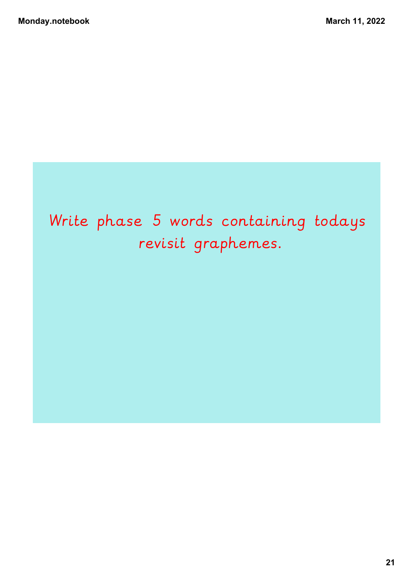#### Write phase 5 words containing todays revisit graphemes.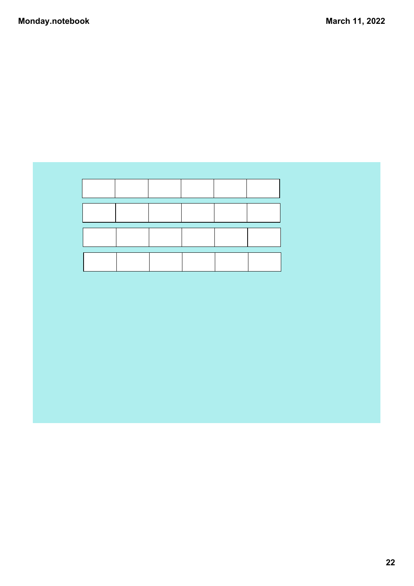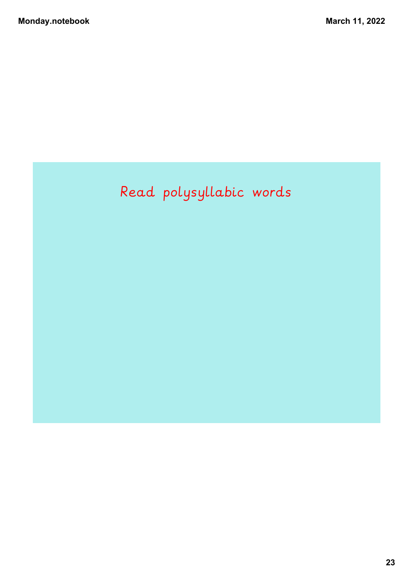#### Read polysyllabic words

**23**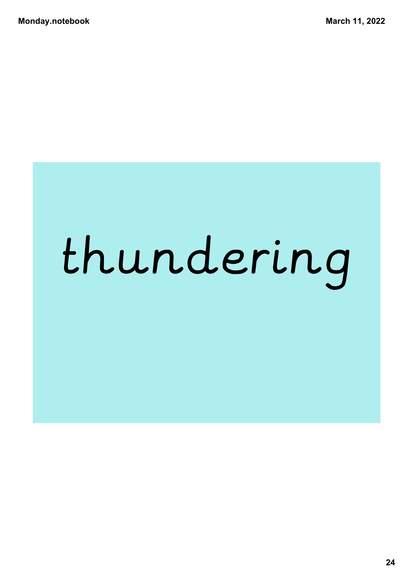## thundering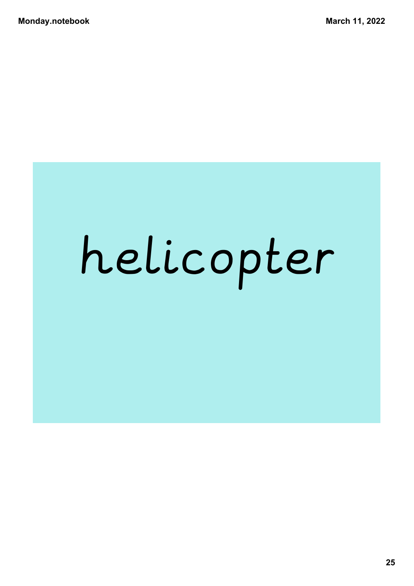# helicopter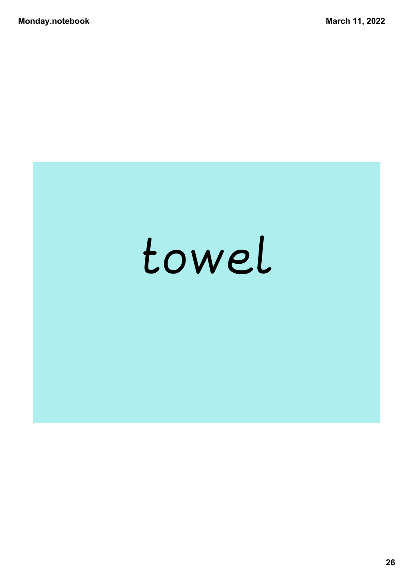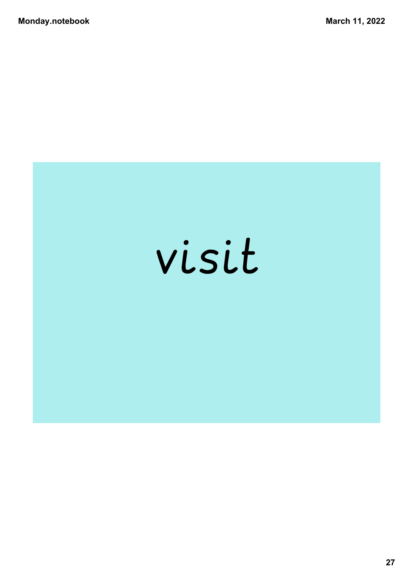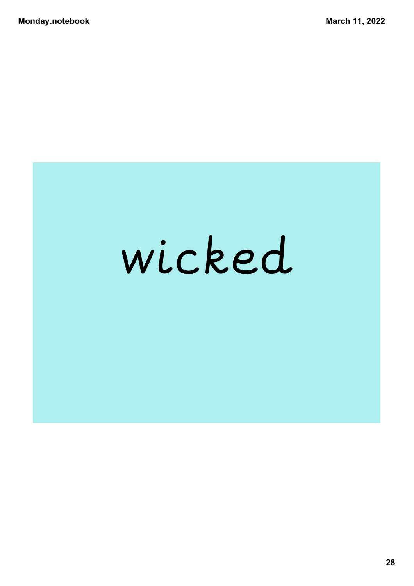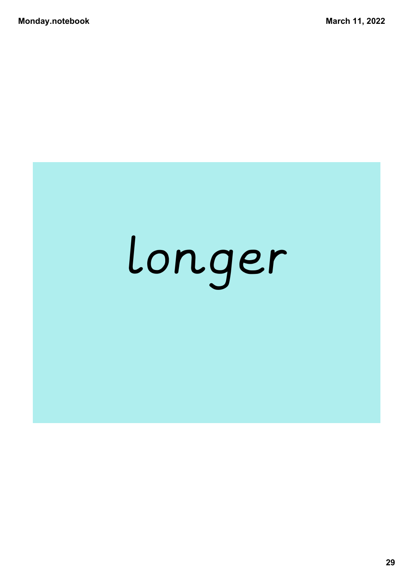## longer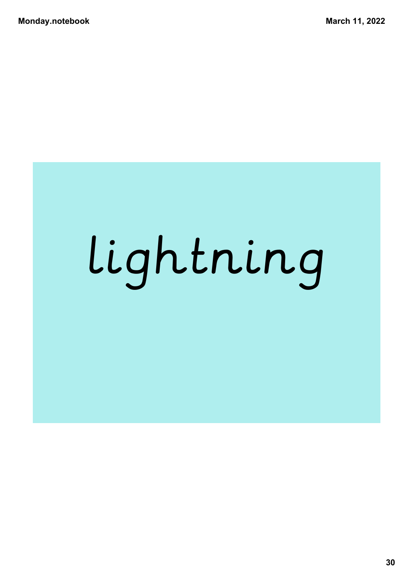## lightning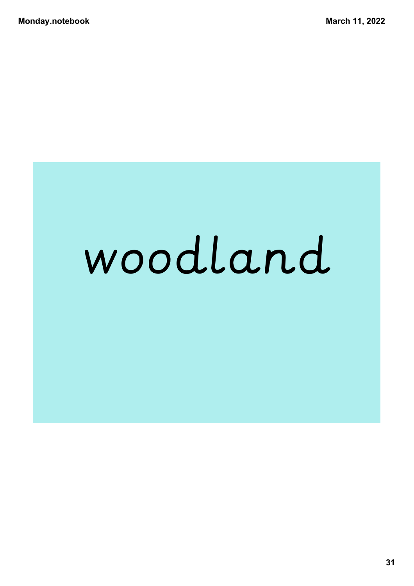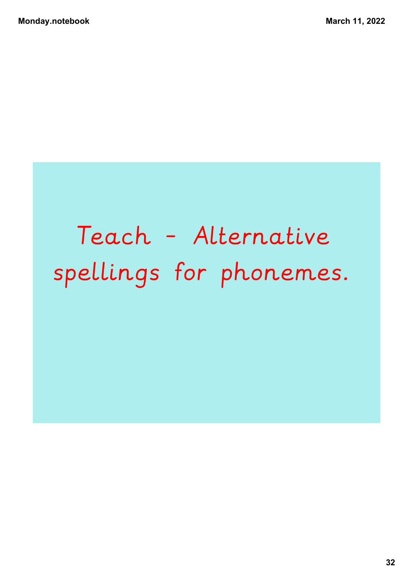#### Teach - Alternative spellings for phonemes.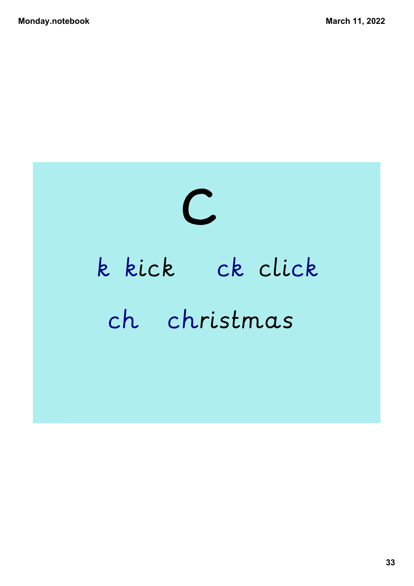## $\mathsf C$ k kick ck click ch christmas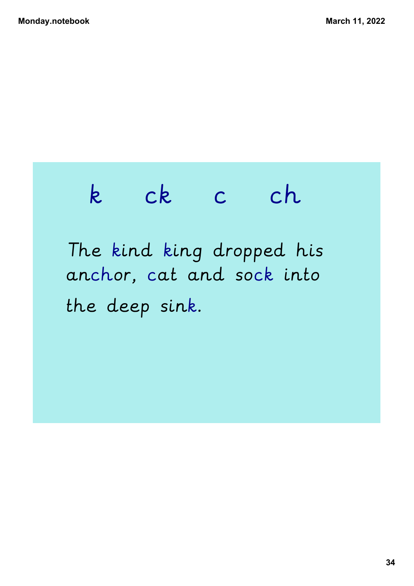#### k ck c ch

The kind king dropped his anchor, cat and sock into the deep sink.